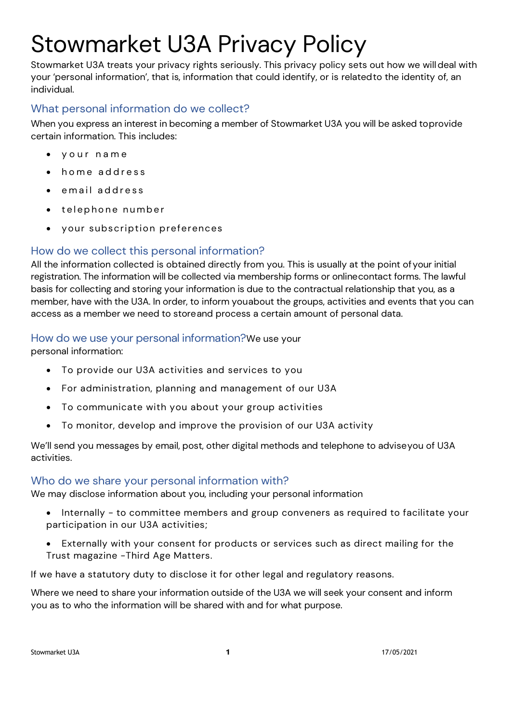# Stowmarket U3A Privacy Policy

Stowmarket U3A treats your privacy rights seriously. This privacy policy sets out how we willdeal with your 'personal information', that is, information that could identify, or is relatedto the identity of, an individual.

# What personal information do we collect?

When you express an interest in becoming a member of Stowmarket U3A you will be asked toprovide certain information. This includes:

- your name
- home address
- $\bullet$  email address
- telephone number
- your subscription preferences

## How do we collect this personal information?

All the information collected is obtained directly from you. This is usually at the point ofyour initial registration. The information will be collected via membership forms or onlinecontact forms. The lawful basis for collecting and storing your information is due to the contractual relationship that you, as a member, have with the U3A. In order, to inform youabout the groups, activities and events that you can access as a member we need to storeand process a certain amount of personal data.

## How do we use your personal information?We use your

personal information:

- To provide our U3A activities and services to you
- For administration, planning and management of our U3A
- To communicate with you about your group activities
- To monitor, develop and improve the provision of our U3A activity

We'll send you messages by email, post, other digital methods and telephone to adviseyou of U3A activities.

#### Who do we share your personal information with?

We may disclose information about you, including your personal information

- Internally to committee members and group conveners as required to facilitate your participation in our U3A activities;
- Externally with your consent for products or services such as direct mailing for the Trust magazine -Third Age Matters.

If we have a statutory duty to disclose it for other legal and regulatory reasons.

Where we need to share your information outside of the U3A we will seek your consent and inform you as to who the information will be shared with and for what purpose.